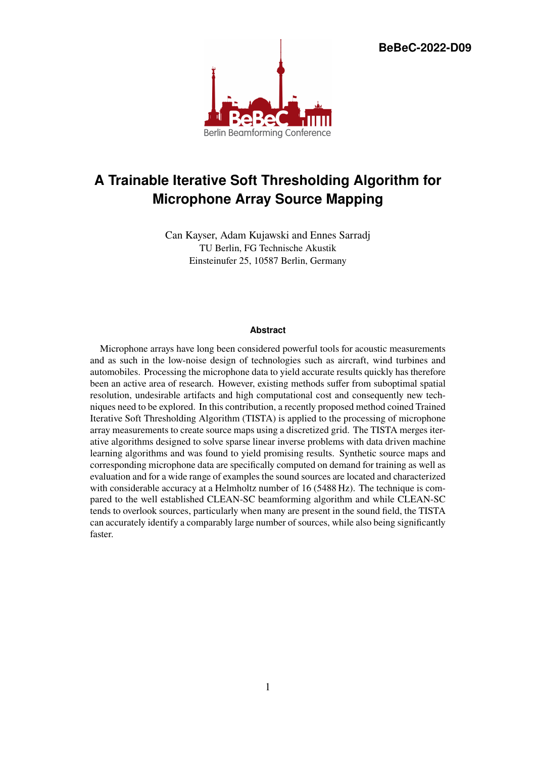**BeBeC-2022-D09**



# **A Trainable Iterative Soft Thresholding Algorithm for Microphone Array Source Mapping**

Can Kayser, Adam Kujawski and Ennes Sarradj TU Berlin, FG Technische Akustik Einsteinufer 25, 10587 Berlin, Germany

# **Abstract**

Microphone arrays have long been considered powerful tools for acoustic measurements and as such in the low-noise design of technologies such as aircraft, wind turbines and automobiles. Processing the microphone data to yield accurate results quickly has therefore been an active area of research. However, existing methods suffer from suboptimal spatial resolution, undesirable artifacts and high computational cost and consequently new techniques need to be explored. In this contribution, a recently proposed method coined Trained Iterative Soft Thresholding Algorithm (TISTA) is applied to the processing of microphone array measurements to create source maps using a discretized grid. The TISTA merges iterative algorithms designed to solve sparse linear inverse problems with data driven machine learning algorithms and was found to yield promising results. Synthetic source maps and corresponding microphone data are specifically computed on demand for training as well as evaluation and for a wide range of examples the sound sources are located and characterized with considerable accuracy at a Helmholtz number of 16 (5488 Hz). The technique is compared to the well established CLEAN-SC beamforming algorithm and while CLEAN-SC tends to overlook sources, particularly when many are present in the sound field, the TISTA can accurately identify a comparably large number of sources, while also being significantly faster.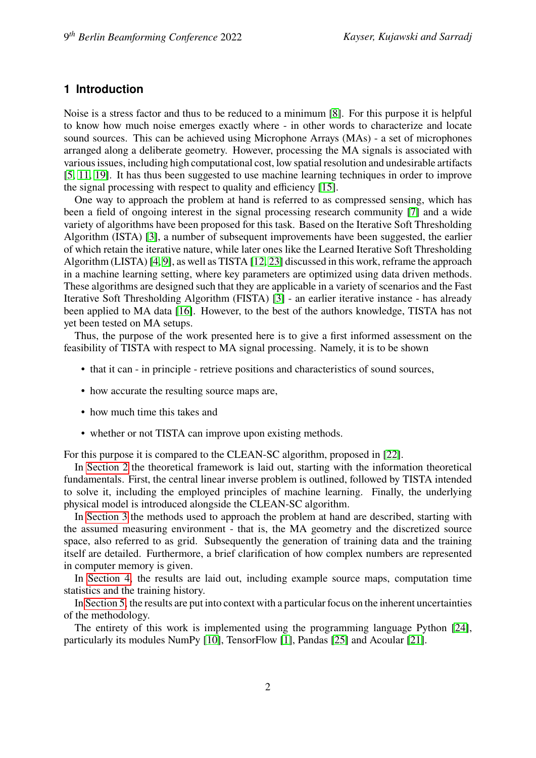# **1 Introduction**

Noise is a stress factor and thus to be reduced to a minimum [\[8\]](#page-14-0). For this purpose it is helpful to know how much noise emerges exactly where - in other words to characterize and locate sound sources. This can be achieved using Microphone Arrays (MAs) - a set of microphones arranged along a deliberate geometry. However, processing the MA signals is associated with various issues, including high computational cost, low spatial resolution and undesirable artifacts [\[5,](#page-14-1) [11,](#page-15-0) [19\]](#page-15-1). It has thus been suggested to use machine learning techniques in order to improve the signal processing with respect to quality and efficiency [\[15\]](#page-15-2).

One way to approach the problem at hand is referred to as compressed sensing, which has been a field of ongoing interest in the signal processing research community [\[7\]](#page-14-2) and a wide variety of algorithms have been proposed for this task. Based on the Iterative Soft Thresholding Algorithm (ISTA) [\[3\]](#page-14-3), a number of subsequent improvements have been suggested, the earlier of which retain the iterative nature, while later ones like the Learned Iterative Soft Thresholding Algorithm (LISTA) [\[4,](#page-14-4) [9\]](#page-14-5), as well as TISTA [\[12,](#page-15-3) [23\]](#page-16-0) discussed in this work, reframe the approach in a machine learning setting, where key parameters are optimized using data driven methods. These algorithms are designed such that they are applicable in a variety of scenarios and the Fast Iterative Soft Thresholding Algorithm (FISTA) [\[3\]](#page-14-3) - an earlier iterative instance - has already been applied to MA data [\[16\]](#page-15-4). However, to the best of the authors knowledge, TISTA has not yet been tested on MA setups.

Thus, the purpose of the work presented here is to give a first informed assessment on the feasibility of TISTA with respect to MA signal processing. Namely, it is to be shown

- that it can in principle retrieve positions and characteristics of sound sources,
- how accurate the resulting source maps are,
- how much time this takes and
- whether or not TISTA can improve upon existing methods.

For this purpose it is compared to the CLEAN-SC algorithm, proposed in [\[22\]](#page-16-1).

In [Section 2](#page-2-0) the theoretical framework is laid out, starting with the information theoretical fundamentals. First, the central linear inverse problem is outlined, followed by TISTA intended to solve it, including the employed principles of machine learning. Finally, the underlying physical model is introduced alongside the CLEAN-SC algorithm.

In [Section 3](#page-6-0) the methods used to approach the problem at hand are described, starting with the assumed measuring environment - that is, the MA geometry and the discretized source space, also referred to as grid. Subsequently the generation of training data and the training itself are detailed. Furthermore, a brief clarification of how complex numbers are represented in computer memory is given.

In [Section 4,](#page-9-0) the results are laid out, including example source maps, computation time statistics and the training history.

In [Section 5,](#page-11-0) the results are put into context with a particular focus on the inherent uncertainties of the methodology.

The entirety of this work is implemented using the programming language Python [\[24\]](#page-16-2), particularly its modules NumPy [\[10\]](#page-14-6), TensorFlow [\[1\]](#page-14-7), Pandas [\[25\]](#page-16-3) and Acoular [\[21\]](#page-15-5).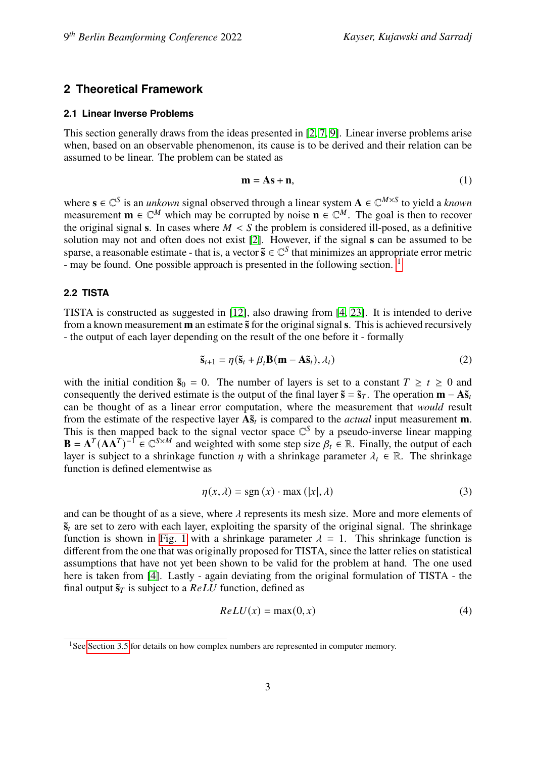# <span id="page-2-0"></span>**2 Theoretical Framework**

#### <span id="page-2-3"></span>**2.1 Linear Inverse Problems**

This section generally draws from the ideas presented in [\[2,](#page-14-8) [7,](#page-14-2) [9\]](#page-14-5). Linear inverse problems arise when, based on an observable phenomenon, its cause is to be derived and their relation can be assumed to be linear. The problem can be stated as

$$
\mathbf{m} = \mathbf{A}\mathbf{s} + \mathbf{n},\tag{1}
$$

where  $\mathbf{s} \in \mathbb{C}^S$  is an *unkown* signal observed through a linear system  $\mathbf{A} \in \mathbb{C}^{M \times S}$  to yield a *known* measurement  $\mathbf{m} \in \mathbb{C}^M$  which may be corrupted by noise  $\mathbf{n} \in \mathbb{C}^M$ . The goal is then to recover the original signal **s**. In cases where  $M < S$  the problem is considered ill-posed, as a definitive solution may not and often does not exist [\[2\]](#page-14-8). However, if the signal **s** can be assumed to be sparse, a reasonable estimate - that is, a vector  $\tilde{s} \in \mathbb{C}^{S}$  that minimizes an appropriate error metric - may be found. One possible approach is presented in the following section. <sup>[1](#page-2-1)</sup>

#### <span id="page-2-2"></span>**2.2 TISTA**

TISTA is constructed as suggested in [\[12\]](#page-15-3), also drawing from [\[4,](#page-14-4) [23\]](#page-16-0). It is intended to derive from a known measurement **m** an estimate  $\tilde{s}$  for the original signal s. This is achieved recursively - the output of each layer depending on the result of the one before it - formally

$$
\tilde{\mathbf{s}}_{t+1} = \eta(\tilde{\mathbf{s}}_t + \beta_t \mathbf{B}(\mathbf{m} - \mathbf{A}\tilde{\mathbf{s}}_t), \lambda_t)
$$
 (2)

with the initial condition  $\tilde{s}_0 = 0$ . The number of layers is set to a constant  $T \ge t \ge 0$  and consequently the derived estimate is the output of the final layer  $\tilde{\mathbf{s}} = \tilde{\mathbf{s}}_T$ . The operation  $\mathbf{m} - \mathbf{A}\tilde{\mathbf{s}}_t$ can be thought of as a linear error computation, where the measurement that *would* result from the estimate of the respective layer  $\mathbf{A}\tilde{\mathbf{s}}_t$  is compared to the *actual* input measurement **m**. This is then mapped back to the signal vector space  $\mathbb{C}^S$  by a pseudo-inverse linear mapping  $\mathbf{B} = \mathbf{A}^T (\mathbf{A} \mathbf{A}^T)^{-1} \in \mathbb{C}^{S \times M}$  and weighted with some step size  $\beta_t \in \mathbb{R}$ . Finally, the output of each layer is subject to a shrinkage function  $\eta$  with a shrinkage parameter  $\lambda_t \in \mathbb{R}$ . The shrinkage function is defined elementwise as

$$
\eta(x,\lambda) = \text{sgn}(x) \cdot \text{max}(|x|,\lambda)
$$
\n(3)

and can be thought of as a sieve, where  $\lambda$  represents its mesh size. More and more elements of  $\tilde{\mathbf{s}}_t$  are set to zero with each layer, exploiting the sparsity of the original signal. The shrinkage function is shown in [Fig. 1](#page-3-0) with a shrinkage parameter  $\lambda = 1$ . This shrinkage function is different from the one that was originally proposed for TISTA, since the latter relies on statistical assumptions that have not yet been shown to be valid for the problem at hand. The one used here is taken from [\[4\]](#page-14-4). Lastly - again deviating from the original formulation of TISTA - the final output  $\tilde{\mathbf{s}}_T$  is subject to a  $ReLU$  function, defined as

$$
ReLU(x) = \max(0, x) \tag{4}
$$

<span id="page-2-1"></span><sup>&</sup>lt;sup>1</sup>See [Section 3.5](#page-9-1) for details on how complex numbers are represented in computer memory.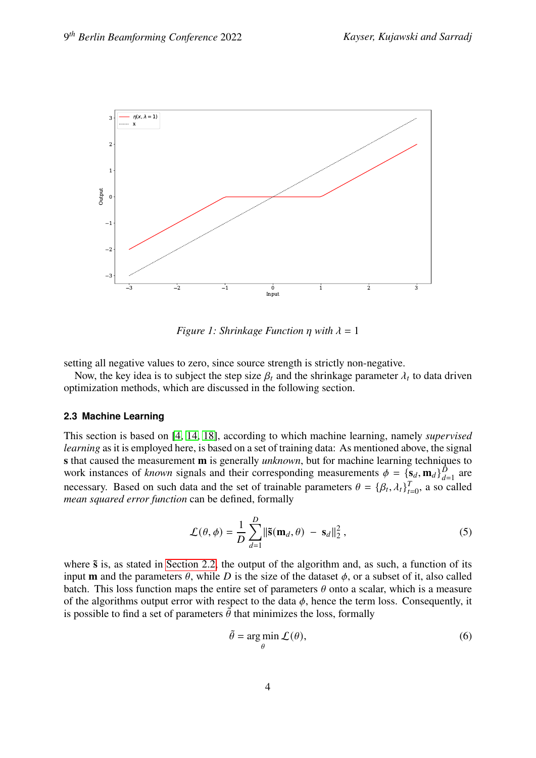

<span id="page-3-0"></span>*Figure 1: Shrinkage Function n* with  $\lambda = 1$ 

setting all negative values to zero, since source strength is strictly non-negative.

Now, the key idea is to subject the step size  $\beta_t$  and the shrinkage parameter  $\lambda_t$  to data driven optimization methods, which are discussed in the following section.

#### <span id="page-3-1"></span>**2.3 Machine Learning**

This section is based on [\[4,](#page-14-4) [14,](#page-15-6) [18\]](#page-15-7), according to which machine learning, namely *supervised learning* as it is employed here, is based on a set of training data: As mentioned above, the signal **s** that caused the measurement **m** is generally *unknown*, but for machine learning techniques to work instances of *known* signals and their corresponding measurements  $\phi = {\bf s}_d, {\bf m}_d$  $\frac{D}{d=1}$  are necessary. Based on such data and the set of trainable parameters  $\theta = {\beta_t, \lambda_t}_{t}$  $T_{t=0}$ , a so called *mean squared error function* can be defined, formally

$$
\mathcal{L}(\theta, \phi) = \frac{1}{D} \sum_{d=1}^{D} \|\tilde{\mathbf{s}}(\mathbf{m}_d, \theta) - \mathbf{s}_d\|_2^2, \qquad (5)
$$

where  $\tilde{s}$  is, as stated in [Section 2.2,](#page-2-2) the output of the algorithm and, as such, a function of its input **m** and the parameters  $\theta$ , while D is the size of the dataset  $\phi$ , or a subset of it, also called batch. This loss function maps the entire set of parameters  $\theta$  onto a scalar, which is a measure of the algorithms output error with respect to the data  $\phi$ , hence the term loss. Consequently, it is possible to find a set of parameters  $\tilde{\theta}$  that minimizes the loss, formally

$$
\tilde{\theta} = \underset{\theta}{\arg \min} \mathcal{L}(\theta),\tag{6}
$$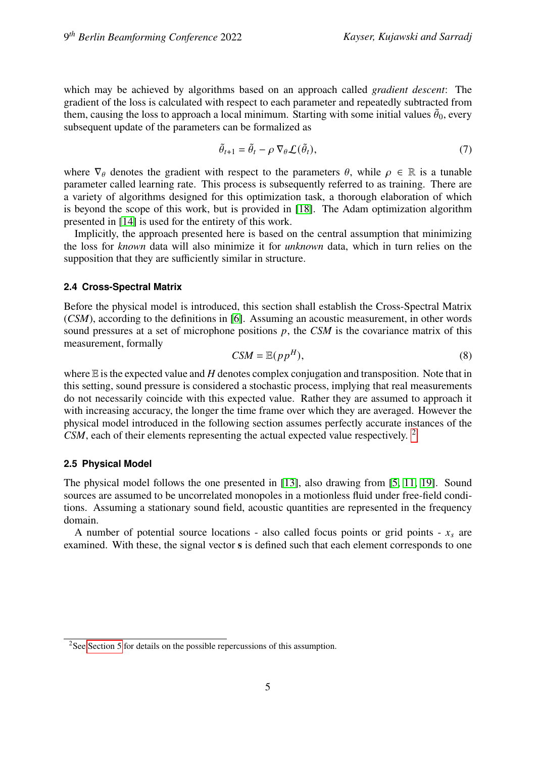which may be achieved by algorithms based on an approach called *gradient descent*: The gradient of the loss is calculated with respect to each parameter and repeatedly subtracted from them, causing the loss to approach a local minimum. Starting with some initial values  $\tilde{\theta}_0$ , every subsequent update of the parameters can be formalized as

$$
\tilde{\theta}_{t+1} = \tilde{\theta}_t - \rho \, \nabla_{\theta} \mathcal{L}(\tilde{\theta}_t),\tag{7}
$$

where  $\nabla_{\theta}$  denotes the gradient with respect to the parameters  $\theta$ , while  $\rho \in \mathbb{R}$  is a tunable parameter called learning rate. This process is subsequently referred to as training. There are a variety of algorithms designed for this optimization task, a thorough elaboration of which is beyond the scope of this work, but is provided in [\[18\]](#page-15-7). The Adam optimization algorithm presented in [\[14\]](#page-15-6) is used for the entirety of this work.

Implicitly, the approach presented here is based on the central assumption that minimizing the loss for *known* data will also minimize it for *unknown* data, which in turn relies on the supposition that they are sufficiently similar in structure.

# <span id="page-4-2"></span>**2.4 Cross-Spectral Matrix**

Before the physical model is introduced, this section shall establish the Cross-Spectral Matrix (*CSM*), according to the definitions in [\[6\]](#page-14-9). Assuming an acoustic measurement, in other words sound pressures at a set of microphone positions  $p$ , the *CSM* is the covariance matrix of this measurement, formally

$$
CSM = \mathbb{E}(pp^H),\tag{8}
$$

where  $E$  is the expected value and  $H$  denotes complex conjugation and transposition. Note that in this setting, sound pressure is considered a stochastic process, implying that real measurements do not necessarily coincide with this expected value. Rather they are assumed to approach it with increasing accuracy, the longer the time frame over which they are averaged. However the physical model introduced in the following section assumes perfectly accurate instances of the *CSM*, each of their elements representing the actual expected value respectively. [2](#page-4-0)

# <span id="page-4-1"></span>**2.5 Physical Model**

The physical model follows the one presented in [\[13\]](#page-15-8), also drawing from [\[5,](#page-14-1) [11,](#page-15-0) [19\]](#page-15-1). Sound sources are assumed to be uncorrelated monopoles in a motionless fluid under free-field conditions. Assuming a stationary sound field, acoustic quantities are represented in the frequency domain.

A number of potential source locations - also called focus points or grid points -  $x_s$  are examined. With these, the signal vector **s** is defined such that each element corresponds to one

<span id="page-4-0"></span><sup>&</sup>lt;sup>2</sup>See [Section 5](#page-11-0) for details on the possible repercussions of this assumption.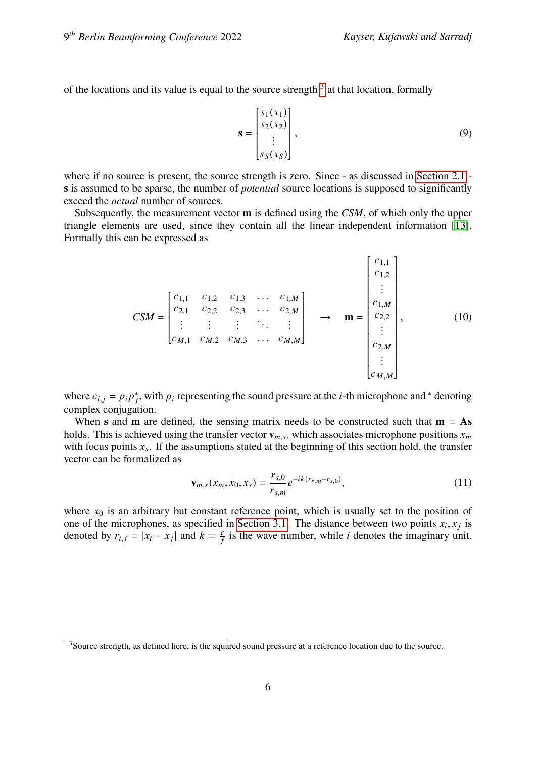of the locations and its value is equal to the source strength  $3$  at that location, formally

$$
\mathbf{s} = \begin{bmatrix} s_1(x_1) \\ s_2(x_2) \\ \vdots \\ s_S(x_S) \end{bmatrix},\tag{9}
$$

where if no source is present, the source strength is zero. Since - as discussed in [Section 2.1](#page-2-3) **s** is assumed to be sparse, the number of *potential* source locations is supposed to significantly exceed the *actual* number of sources.

Subsequently, the measurement vector **m** is defined using the *CSM*, of which only the upper triangle elements are used, since they contain all the linear independent information [\[13\]](#page-15-8). Formally this can be expressed as

$$
CSM = \begin{bmatrix} c_{1,1} & c_{1,2} & c_{1,3} & \dots & c_{1,M} \\ c_{2,1} & c_{2,2} & c_{2,3} & \dots & c_{2,M} \\ \vdots & \vdots & \vdots & \ddots & \vdots \\ c_{M,1} & c_{M,2} & c_{M,3} & \dots & c_{M,M} \end{bmatrix} \longrightarrow \mathbf{m} = \begin{bmatrix} c_{1,1} \\ c_{1,2} \\ \vdots \\ c_{2,2} \\ \vdots \\ c_{2,M} \\ \vdots \\ c_{M,M} \end{bmatrix},
$$
(10)

where  $c_{i,j} = p_i p_j^*$ , with  $p_i$  representing the sound pressure at the *i*-th microphone and <sup>\*</sup> denoting complex conjugation.

When **s** and **m** are defined, the sensing matrix needs to be constructed such that  $\mathbf{m} = \mathbf{A}\mathbf{s}$ holds. This is achieved using the transfer vector  $\mathbf{v}_{m,s}$ , which associates microphone positions  $x_m$ with focus points  $x_s$ . If the assumptions stated at the beginning of this section hold, the transfer vector can be formalized as

<span id="page-5-1"></span>
$$
\mathbf{v}_{m,s}(x_m, x_0, x_s) = \frac{r_{s,0}}{r_{s,m}} e^{-ik(r_{s,m} - r_{s,0})},\tag{11}
$$

where  $x_0$  is an arbitrary but constant reference point, which is usually set to the position of one of the microphones, as specified in [Section 3.1.](#page-6-1) The distance between two points  $x_i, x_j$  is denoted by  $r_{i,j} = |x_i - x_j|$  and  $k = \frac{c}{t}$  $\frac{c}{f}$  is the wave number, while *i* denotes the imaginary unit.

<span id="page-5-0"></span><sup>&</sup>lt;sup>3</sup>Source strength, as defined here, is the squared sound pressure at a reference location due to the source.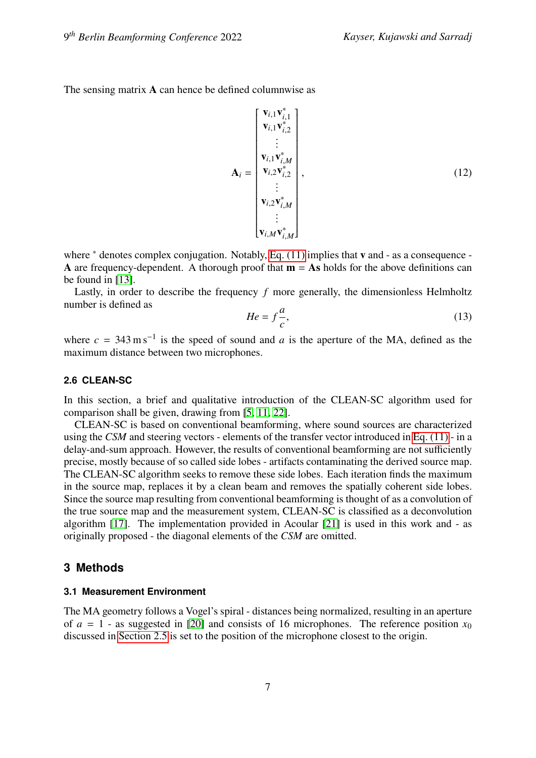The sensing matrix **A** can hence be defined columnwise as

$$
\mathbf{A}_{i} = \begin{bmatrix} \mathbf{v}_{i,1} \mathbf{v}_{i,1}^{*} \\ \mathbf{v}_{i,1} \mathbf{v}_{i,2}^{*} \\ \vdots \\ \mathbf{v}_{i,1} \mathbf{v}_{i,M}^{*} \\ \mathbf{v}_{i,2} \mathbf{v}_{i,2}^{*} \\ \vdots \\ \mathbf{v}_{i,2} \mathbf{v}_{i,M}^{*} \\ \vdots \\ \mathbf{v}_{i,M} \mathbf{v}_{i,M}^{*} \end{bmatrix},
$$
\n(12)

where <sup>\*</sup> denotes complex conjugation. Notably, [Eq. \(11\)](#page-5-1) implies that **v** and - as a consequence -**A** are frequency-dependent. A thorough proof that  $\mathbf{m} = \mathbf{As}$  holds for the above definitions can be found in [\[13\]](#page-15-8).

Lastly, in order to describe the frequency  $f$  more generally, the dimensionless Helmholtz number is defined as  $\overline{a}$ 

$$
He = f\frac{a}{c},\tag{13}
$$

where  $c = 343 \text{ m s}^{-1}$  is the speed of sound and a is the aperture of the MA, defined as the maximum distance between two microphones.

# **2.6 CLEAN-SC**

In this section, a brief and qualitative introduction of the CLEAN-SC algorithm used for comparison shall be given, drawing from [\[5,](#page-14-1) [11,](#page-15-0) [22\]](#page-16-1).

CLEAN-SC is based on conventional beamforming, where sound sources are characterized using the *CSM* and steering vectors - elements of the transfer vector introduced in [Eq. \(11\)](#page-5-1) - in a delay-and-sum approach. However, the results of conventional beamforming are not sufficiently precise, mostly because of so called side lobes - artifacts contaminating the derived source map. The CLEAN-SC algorithm seeks to remove these side lobes. Each iteration finds the maximum in the source map, replaces it by a clean beam and removes the spatially coherent side lobes. Since the source map resulting from conventional beamforming is thought of as a convolution of the true source map and the measurement system, CLEAN-SC is classified as a deconvolution algorithm [\[17\]](#page-15-9). The implementation provided in Acoular [\[21\]](#page-15-5) is used in this work and - as originally proposed - the diagonal elements of the *CSM* are omitted.

# <span id="page-6-0"></span>**3 Methods**

#### <span id="page-6-1"></span>**3.1 Measurement Environment**

The MA geometry follows a Vogel's spiral - distances being normalized, resulting in an aperture of  $a = 1$  - as suggested in [\[20\]](#page-15-10) and consists of 16 microphones. The reference position  $x_0$ discussed in [Section 2.5](#page-4-1) is set to the position of the microphone closest to the origin.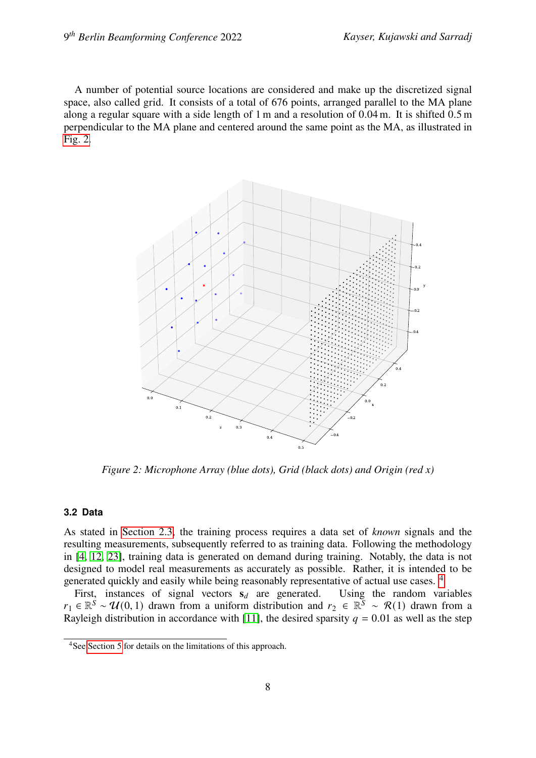A number of potential source locations are considered and make up the discretized signal space, also called grid. It consists of a total of 676 points, arranged parallel to the MA plane along a regular square with a side length of 1 m and a resolution of 0.04 m. It is shifted 0.5 m perpendicular to the MA plane and centered around the same point as the MA, as illustrated in [Fig. 2.](#page-7-0)



<span id="page-7-0"></span>*Figure 2: Microphone Array (blue dots), Grid (black dots) and Origin (red x)*

### <span id="page-7-2"></span>**3.2 Data**

As stated in [Section 2.3,](#page-3-1) the training process requires a data set of *known* signals and the resulting measurements, subsequently referred to as training data. Following the methodology in [\[4,](#page-14-4) [12,](#page-15-3) [23\]](#page-16-0), training data is generated on demand during training. Notably, the data is not designed to model real measurements as accurately as possible. Rather, it is intended to be generated quickly and easily while being reasonably representative of actual use cases. [4](#page-7-1)

First, instances of signal vectors  $s_d$  are generated. Using the random variables  $r_1 \in \mathbb{R}^s \sim \mathcal{U}(0,1)$  drawn from a uniform distribution and  $r_2 \in \mathbb{R}^s \sim \mathcal{R}(1)$  drawn from a Rayleigh distribution in accordance with [\[11\]](#page-15-0), the desired sparsity  $q = 0.01$  as well as the step

<span id="page-7-1"></span><sup>4</sup>See [Section 5](#page-11-0) for details on the limitations of this approach.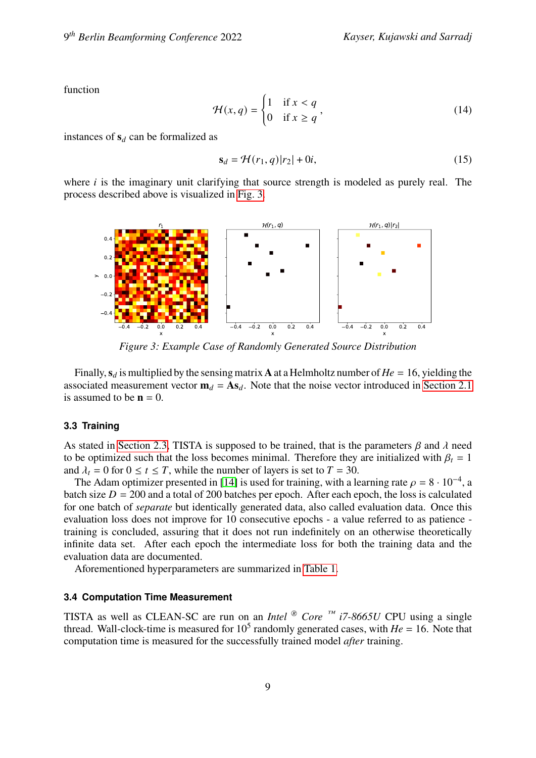function

$$
\mathcal{H}(x,q) = \begin{cases} 1 & \text{if } x < q \\ 0 & \text{if } x \ge q \end{cases},\tag{14}
$$

instances of  $s_d$  can be formalized as

$$
\mathbf{s}_d = \mathcal{H}(r_1, q)|r_2| + 0i,\tag{15}
$$

where  $i$  is the imaginary unit clarifying that source strength is modeled as purely real. The process described above is visualized in [Fig. 3.](#page-8-0)



<span id="page-8-0"></span>*Figure 3: Example Case of Randomly Generated Source Distribution*

Finally,  $s_d$  is multiplied by the sensing matrix **A** at a Helmholtz number of  $He = 16$ , yielding the associated measurement vector  $\mathbf{m}_d = \mathbf{A} \mathbf{s}_d$ . Note that the noise vector introduced in [Section 2.1](#page-2-3) is assumed to be  $\mathbf{n} = 0$ .

#### **3.3 Training**

As stated in [Section 2.3,](#page-3-1) TISTA is supposed to be trained, that is the parameters  $\beta$  and  $\lambda$  need to be optimized such that the loss becomes minimal. Therefore they are initialized with  $\beta_t = 1$ and  $\lambda_t = 0$  for  $0 \le t \le T$ , while the number of layers is set to  $T = 30$ .

The Adam optimizer presented in [\[14\]](#page-15-6) is used for training, with a learning rate  $\rho = 8 \cdot 10^{-4}$ , a batch size  $D = 200$  and a total of 200 batches per epoch. After each epoch, the loss is calculated for one batch of *separate* but identically generated data, also called evaluation data. Once this evaluation loss does not improve for 10 consecutive epochs - a value referred to as patience training is concluded, assuring that it does not run indefinitely on an otherwise theoretically infinite data set. After each epoch the intermediate loss for both the training data and the evaluation data are documented.

Aforementioned hyperparameters are summarized in [Table 1.](#page-9-2)

#### <span id="page-8-1"></span>**3.4 Computation Time Measurement**

TISTA as well as CLEAN-SC are run on an *Intel*  $\circledcirc$  *Core*  $\circledcirc$  *<sup>m</sup> i7-8665U* CPU using a single thread. Wall-clock-time is measured for  $10^5$  randomly generated cases, with  $He = 16$ . Note that computation time is measured for the successfully trained model *after* training.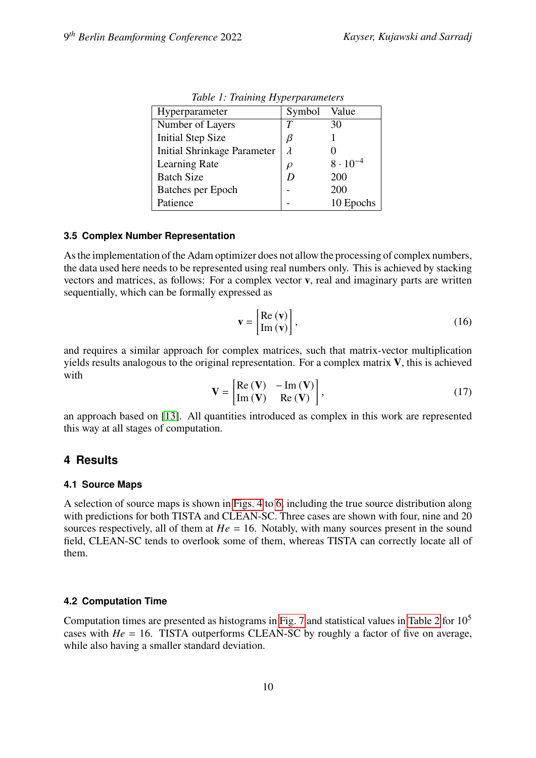| Hyperparameter                     | Symbol    | Value             |
|------------------------------------|-----------|-------------------|
| Number of Layers                   | T         | 30                |
| <b>Initial Step Size</b>           | β         |                   |
| <b>Initial Shrinkage Parameter</b> | $\lambda$ |                   |
| <b>Learning Rate</b>               | $\rho$    | $8 \cdot 10^{-4}$ |
| <b>Batch Size</b>                  | D         | 200               |
| Batches per Epoch                  |           | 200               |
| Patience                           |           | 10 Epochs         |

<span id="page-9-2"></span>*Table 1: Training Hyperparameters*

#### <span id="page-9-1"></span>**3.5 Complex Number Representation**

As the implementation of the Adam optimizer does not allow the processing of complex numbers, the data used here needs to be represented using real numbers only. This is achieved by stacking vectors and matrices, as follows: For a complex vector **v**, real and imaginary parts are written sequentially, which can be formally expressed as

$$
\mathbf{v} = \begin{bmatrix} \text{Re}(\mathbf{v}) \\ \text{Im}(\mathbf{v}) \end{bmatrix},\tag{16}
$$

and requires a similar approach for complex matrices, such that matrix-vector multiplication yields results analogous to the original representation. For a complex matrix **V**, this is achieved with

$$
\mathbf{V} = \begin{bmatrix} \text{Re}(\mathbf{V}) & -\text{Im}(\mathbf{V}) \\ \text{Im}(\mathbf{V}) & \text{Re}(\mathbf{V}) \end{bmatrix},
$$
(17)

an approach based on [\[13\]](#page-15-8). All quantities introduced as complex in this work are represented this way at all stages of computation.

# <span id="page-9-0"></span>**4 Results**

#### **4.1 Source Maps**

A selection of source maps is shown in [Figs. 4](#page-10-0) to [6,](#page-10-1) including the true source distribution along with predictions for both TISTA and CLEAN-SC. Three cases are shown with four, nine and 20 sources respectively, all of them at  $He = 16$ . Notably, with many sources present in the sound field, CLEAN-SC tends to overlook some of them, whereas TISTA can correctly locate all of them.

# **4.2 Computation Time**

Computation times are presented as histograms in [Fig. 7](#page-11-1) and statistical values in [Table 2](#page-11-2) for 10<sup>5</sup> cases with  $He = 16$ . TISTA outperforms CLEAN-SC by roughly a factor of five on average, while also having a smaller standard deviation.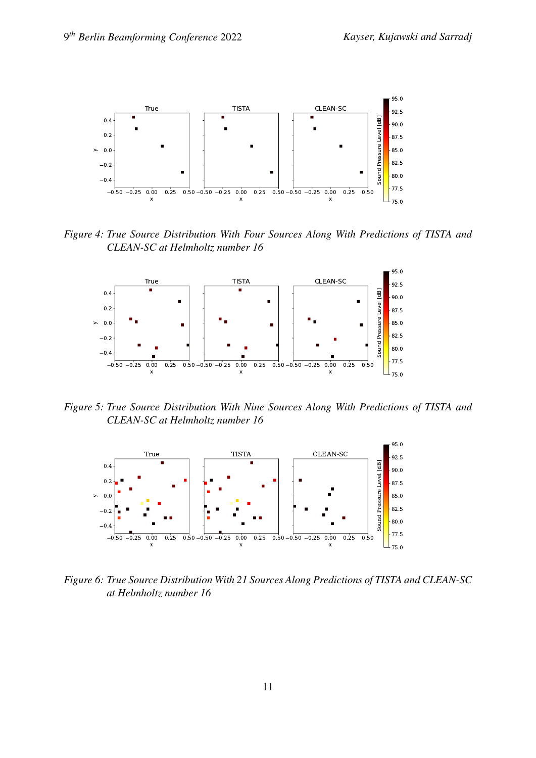

<span id="page-10-0"></span>*Figure 4: True Source Distribution With Four Sources Along With Predictions of TISTA and CLEAN-SC at Helmholtz number 16*



*Figure 5: True Source Distribution With Nine Sources Along With Predictions of TISTA and CLEAN-SC at Helmholtz number 16*



<span id="page-10-1"></span>*Figure 6: True Source Distribution With 21 Sources Along Predictions of TISTA and CLEAN-SC at Helmholtz number 16*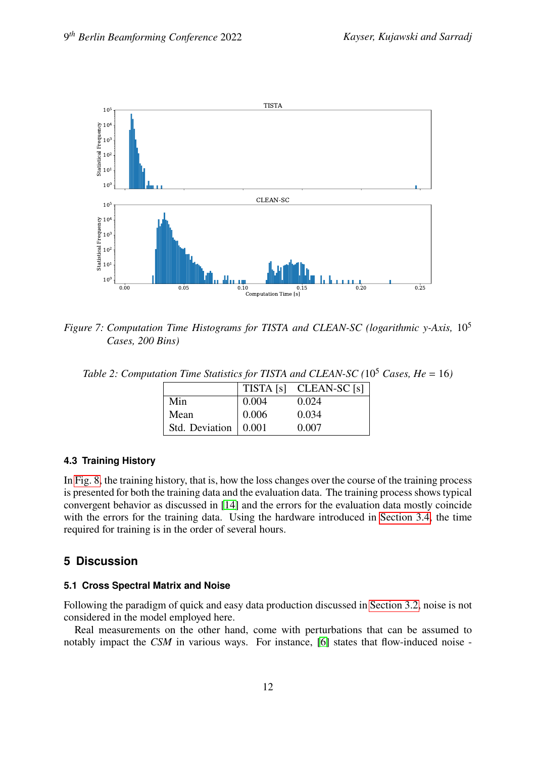

<span id="page-11-1"></span>*Figure 7: Computation Time Histograms for TISTA and CLEAN-SC (logarithmic y-Axis,* 10<sup>5</sup> *Cases, 200 Bins)*

<span id="page-11-2"></span>*Table 2: Computation Time Statistics for TISTA and CLEAN-SC* (10<sup>5</sup> *Cases, He* = 16)

|                        |              | TISTA [s] CLEAN-SC [s] |
|------------------------|--------------|------------------------|
| Min                    | $\mid 0.004$ | 0.024                  |
| Mean                   | 0.006        | 0.034                  |
| Std. Deviation   0.001 |              | 0.007                  |

# **4.3 Training History**

In [Fig. 8,](#page-12-0) the training history, that is, how the loss changes over the course of the training process is presented for both the training data and the evaluation data. The training process shows typical convergent behavior as discussed in [\[14\]](#page-15-6) and the errors for the evaluation data mostly coincide with the errors for the training data. Using the hardware introduced in [Section 3.4,](#page-8-1) the time required for training is in the order of several hours.

# <span id="page-11-0"></span>**5 Discussion**

# **5.1 Cross Spectral Matrix and Noise**

Following the paradigm of quick and easy data production discussed in [Section 3.2,](#page-7-2) noise is not considered in the model employed here.

Real measurements on the other hand, come with perturbations that can be assumed to notably impact the *CSM* in various ways. For instance, [\[6\]](#page-14-9) states that flow-induced noise -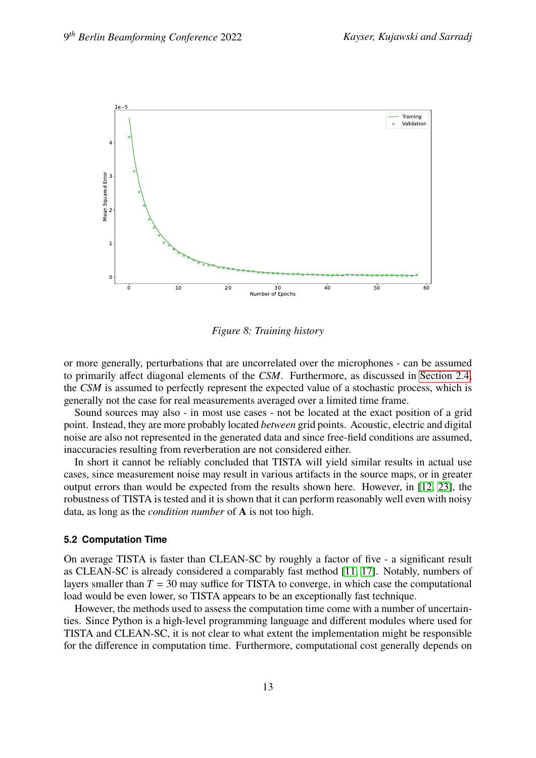

<span id="page-12-0"></span>*Figure 8: Training history*

or more generally, perturbations that are uncorrelated over the microphones - can be assumed to primarily affect diagonal elements of the *CSM*. Furthermore, as discussed in [Section 2.4,](#page-4-2) the *CSM* is assumed to perfectly represent the expected value of a stochastic process, which is generally not the case for real measurements averaged over a limited time frame.

Sound sources may also - in most use cases - not be located at the exact position of a grid point. Instead, they are more probably located *between* grid points. Acoustic, electric and digital noise are also not represented in the generated data and since free-field conditions are assumed, inaccuracies resulting from reverberation are not considered either.

In short it cannot be reliably concluded that TISTA will yield similar results in actual use cases, since measurement noise may result in various artifacts in the source maps, or in greater output errors than would be expected from the results shown here. However, in [\[12,](#page-15-3) [23\]](#page-16-0), the robustness of TISTA is tested and it is shown that it can perform reasonably well even with noisy data, as long as the *condition number* of **A** is not too high.

#### **5.2 Computation Time**

On average TISTA is faster than CLEAN-SC by roughly a factor of five - a significant result as CLEAN-SC is already considered a comparably fast method [\[11,](#page-15-0) [17\]](#page-15-9). Notably, numbers of layers smaller than  $T = 30$  may suffice for TISTA to converge, in which case the computational load would be even lower, so TISTA appears to be an exceptionally fast technique.

However, the methods used to assess the computation time come with a number of uncertainties. Since Python is a high-level programming language and different modules where used for TISTA and CLEAN-SC, it is not clear to what extent the implementation might be responsible for the difference in computation time. Furthermore, computational cost generally depends on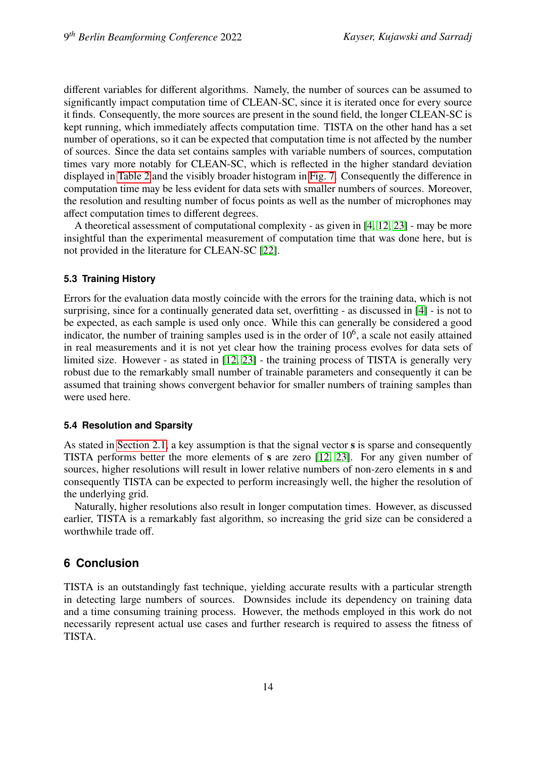different variables for different algorithms. Namely, the number of sources can be assumed to significantly impact computation time of CLEAN-SC, since it is iterated once for every source it finds. Consequently, the more sources are present in the sound field, the longer CLEAN-SC is kept running, which immediately affects computation time. TISTA on the other hand has a set number of operations, so it can be expected that computation time is not affected by the number of sources. Since the data set contains samples with variable numbers of sources, computation times vary more notably for CLEAN-SC, which is reflected in the higher standard deviation displayed in [Table 2](#page-11-2) and the visibly broader histogram in [Fig. 7.](#page-11-1) Consequently the difference in computation time may be less evident for data sets with smaller numbers of sources. Moreover, the resolution and resulting number of focus points as well as the number of microphones may affect computation times to different degrees.

A theoretical assessment of computational complexity - as given in [\[4,](#page-14-4) [12,](#page-15-3) [23\]](#page-16-0) - may be more insightful than the experimental measurement of computation time that was done here, but is not provided in the literature for CLEAN-SC [\[22\]](#page-16-1).

# **5.3 Training History**

Errors for the evaluation data mostly coincide with the errors for the training data, which is not surprising, since for a continually generated data set, overfitting - as discussed in [\[4\]](#page-14-4) - is not to be expected, as each sample is used only once. While this can generally be considered a good indicator, the number of training samples used is in the order of  $10<sup>6</sup>$ , a scale not easily attained in real measurements and it is not yet clear how the training process evolves for data sets of limited size. However - as stated in [\[12,](#page-15-3) [23\]](#page-16-0) - the training process of TISTA is generally very robust due to the remarkably small number of trainable parameters and consequently it can be assumed that training shows convergent behavior for smaller numbers of training samples than were used here.

# **5.4 Resolution and Sparsity**

As stated in [Section 2.1,](#page-2-3) a key assumption is that the signal vector **s** is sparse and consequently TISTA performs better the more elements of **s** are zero [\[12,](#page-15-3) [23\]](#page-16-0). For any given number of sources, higher resolutions will result in lower relative numbers of non-zero elements in **s** and consequently TISTA can be expected to perform increasingly well, the higher the resolution of the underlying grid.

Naturally, higher resolutions also result in longer computation times. However, as discussed earlier, TISTA is a remarkably fast algorithm, so increasing the grid size can be considered a worthwhile trade off.

# **6 Conclusion**

TISTA is an outstandingly fast technique, yielding accurate results with a particular strength in detecting large numbers of sources. Downsides include its dependency on training data and a time consuming training process. However, the methods employed in this work do not necessarily represent actual use cases and further research is required to assess the fitness of TISTA.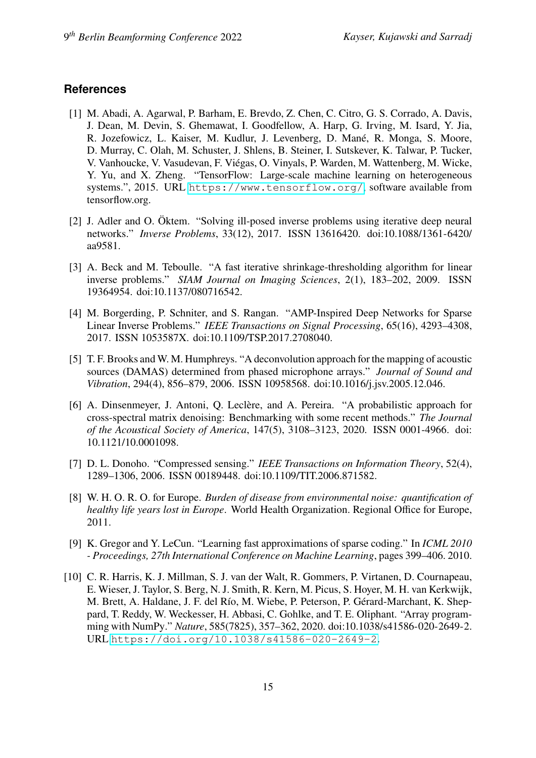# **References**

- <span id="page-14-7"></span>[1] M. Abadi, A. Agarwal, P. Barham, E. Brevdo, Z. Chen, C. Citro, G. S. Corrado, A. Davis, J. Dean, M. Devin, S. Ghemawat, I. Goodfellow, A. Harp, G. Irving, M. Isard, Y. Jia, R. Jozefowicz, L. Kaiser, M. Kudlur, J. Levenberg, D. Mané, R. Monga, S. Moore, D. Murray, C. Olah, M. Schuster, J. Shlens, B. Steiner, I. Sutskever, K. Talwar, P. Tucker, V. Vanhoucke, V. Vasudevan, F. Viégas, O. Vinyals, P. Warden, M. Wattenberg, M. Wicke, Y. Yu, and X. Zheng. "TensorFlow: Large-scale machine learning on heterogeneous systems.", 2015. URL <https://www.tensorflow.org/>, software available from tensorflow.org.
- <span id="page-14-8"></span>[2] J. Adler and O. Öktem. "Solving ill-posed inverse problems using iterative deep neural networks." *Inverse Problems*, 33(12), 2017. ISSN 13616420. doi:10.1088/1361-6420/ aa9581.
- <span id="page-14-3"></span>[3] A. Beck and M. Teboulle. "A fast iterative shrinkage-thresholding algorithm for linear inverse problems." *SIAM Journal on Imaging Sciences*, 2(1), 183–202, 2009. ISSN 19364954. doi:10.1137/080716542.
- <span id="page-14-4"></span>[4] M. Borgerding, P. Schniter, and S. Rangan. "AMP-Inspired Deep Networks for Sparse Linear Inverse Problems." *IEEE Transactions on Signal Processing*, 65(16), 4293–4308, 2017. ISSN 1053587X. doi:10.1109/TSP.2017.2708040.
- <span id="page-14-1"></span>[5] T. F. Brooks and W. M. Humphreys. "A deconvolution approach for the mapping of acoustic sources (DAMAS) determined from phased microphone arrays." *Journal of Sound and Vibration*, 294(4), 856–879, 2006. ISSN 10958568. doi:10.1016/j.jsv.2005.12.046.
- <span id="page-14-9"></span>[6] A. Dinsenmeyer, J. Antoni, Q. Leclère, and A. Pereira. "A probabilistic approach for cross-spectral matrix denoising: Benchmarking with some recent methods." *The Journal of the Acoustical Society of America*, 147(5), 3108–3123, 2020. ISSN 0001-4966. doi: 10.1121/10.0001098.
- <span id="page-14-2"></span>[7] D. L. Donoho. "Compressed sensing." *IEEE Transactions on Information Theory*, 52(4), 1289–1306, 2006. ISSN 00189448. doi:10.1109/TIT.2006.871582.
- <span id="page-14-0"></span>[8] W. H. O. R. O. for Europe. *Burden of disease from environmental noise: quantification of healthy life years lost in Europe*. World Health Organization. Regional Office for Europe, 2011.
- <span id="page-14-5"></span>[9] K. Gregor and Y. LeCun. "Learning fast approximations of sparse coding." In *ICML 2010 - Proceedings, 27th International Conference on Machine Learning*, pages 399–406. 2010.
- <span id="page-14-6"></span>[10] C. R. Harris, K. J. Millman, S. J. van der Walt, R. Gommers, P. Virtanen, D. Cournapeau, E. Wieser, J. Taylor, S. Berg, N. J. Smith, R. Kern, M. Picus, S. Hoyer, M. H. van Kerkwijk, M. Brett, A. Haldane, J. F. del Río, M. Wiebe, P. Peterson, P. Gérard-Marchant, K. Sheppard, T. Reddy, W. Weckesser, H. Abbasi, C. Gohlke, and T. E. Oliphant. "Array programming with NumPy." *Nature*, 585(7825), 357–362, 2020. doi:10.1038/s41586-020-2649-2. URL <https://doi.org/10.1038/s41586-020-2649-2>.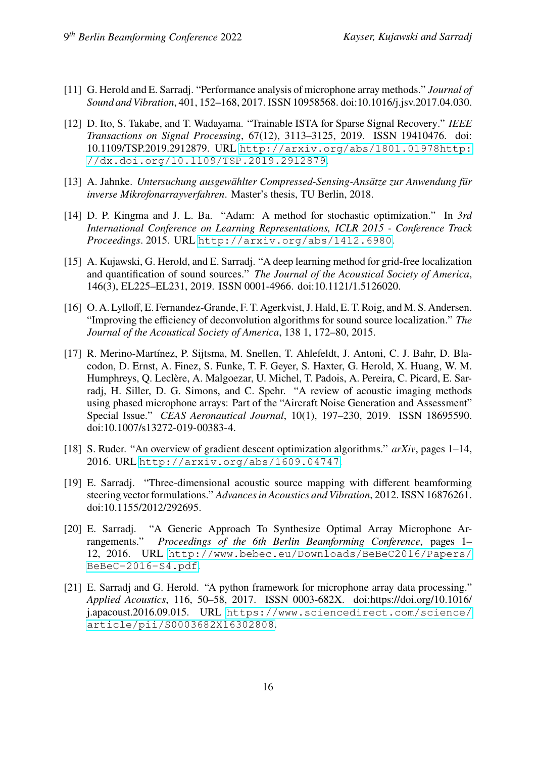- <span id="page-15-0"></span>[11] G. Herold and E. Sarradj. "Performance analysis of microphone array methods." *Journal of Sound and Vibration*, 401, 152–168, 2017. ISSN 10958568. doi:10.1016/j.jsv.2017.04.030.
- <span id="page-15-3"></span>[12] D. Ito, S. Takabe, and T. Wadayama. "Trainable ISTA for Sparse Signal Recovery." *IEEE Transactions on Signal Processing*, 67(12), 3113–3125, 2019. ISSN 19410476. doi: 10.1109/TSP.2019.2912879. URL [http://arxiv.org/abs/1801.01978http:](http://arxiv.org/abs/1801.01978 http://dx.doi.org/10.1109/TSP.2019.2912879) [//dx.doi.org/10.1109/TSP.2019.2912879](http://arxiv.org/abs/1801.01978 http://dx.doi.org/10.1109/TSP.2019.2912879).
- <span id="page-15-8"></span>[13] A. Jahnke. *Untersuchung ausgewählter Compressed-Sensing-Ansätze zur Anwendung für inverse Mikrofonarrayverfahren*. Master's thesis, TU Berlin, 2018.
- <span id="page-15-6"></span>[14] D. P. Kingma and J. L. Ba. "Adam: A method for stochastic optimization." In *3rd International Conference on Learning Representations, ICLR 2015 - Conference Track Proceedings*. 2015. URL <http://arxiv.org/abs/1412.6980>.
- <span id="page-15-2"></span>[15] A. Kujawski, G. Herold, and E. Sarradj. "A deep learning method for grid-free localization and quantification of sound sources." *The Journal of the Acoustical Society of America*, 146(3), EL225–EL231, 2019. ISSN 0001-4966. doi:10.1121/1.5126020.
- <span id="page-15-4"></span>[16] O. A. Lylloff, E. Fernandez-Grande, F. T. Agerkvist, J. Hald, E. T. Roig, and M. S. Andersen. "Improving the efficiency of deconvolution algorithms for sound source localization." *The Journal of the Acoustical Society of America*, 138 1, 172–80, 2015.
- <span id="page-15-9"></span>[17] R. Merino-Martínez, P. Sijtsma, M. Snellen, T. Ahlefeldt, J. Antoni, C. J. Bahr, D. Blacodon, D. Ernst, A. Finez, S. Funke, T. F. Geyer, S. Haxter, G. Herold, X. Huang, W. M. Humphreys, Q. Leclère, A. Malgoezar, U. Michel, T. Padois, A. Pereira, C. Picard, E. Sarradj, H. Siller, D. G. Simons, and C. Spehr. "A review of acoustic imaging methods using phased microphone arrays: Part of the "Aircraft Noise Generation and Assessment" Special Issue." *CEAS Aeronautical Journal*, 10(1), 197–230, 2019. ISSN 18695590. doi:10.1007/s13272-019-00383-4.
- <span id="page-15-7"></span>[18] S. Ruder. "An overview of gradient descent optimization algorithms." *arXiv*, pages 1–14, 2016. URL <http://arxiv.org/abs/1609.04747>.
- <span id="page-15-1"></span>[19] E. Sarradj. "Three-dimensional acoustic source mapping with different beamforming steering vector formulations." *Advances in Acoustics and Vibration*, 2012. ISSN 16876261. doi:10.1155/2012/292695.
- <span id="page-15-10"></span>[20] E. Sarradj. "A Generic Approach To Synthesize Optimal Array Microphone Arrangements." *Proceedings of the 6th Berlin Beamforming Conference*, pages 1– 12, 2016. URL [http://www.bebec.eu/Downloads/BeBeC2016/Papers/](http://www.bebec.eu/Downloads/BeBeC2016/Papers/BeBeC-2016-S4.pdf) [BeBeC-2016-S4.pdf](http://www.bebec.eu/Downloads/BeBeC2016/Papers/BeBeC-2016-S4.pdf).
- <span id="page-15-5"></span>[21] E. Sarradj and G. Herold. "A python framework for microphone array data processing." *Applied Acoustics*, 116, 50–58, 2017. ISSN 0003-682X. doi:https://doi.org/10.1016/ j.apacoust.2016.09.015. URL [https://www.sciencedirect.com/science/](https://www.sciencedirect.com/science/article/pii/S0003682X16302808) [article/pii/S0003682X16302808](https://www.sciencedirect.com/science/article/pii/S0003682X16302808).